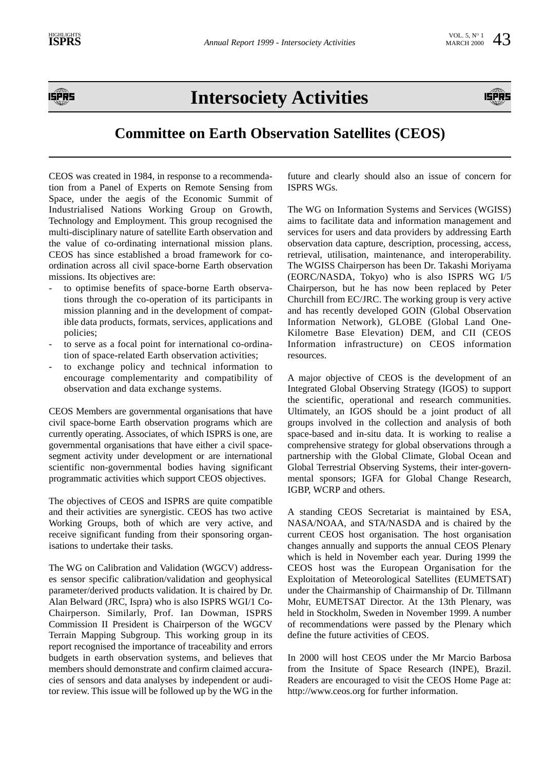

# **Intersociety Activities**



# **Committee on Earth Observation Satellites (CEOS)**

CEOS was created in 1984, in response to a recommendation from a Panel of Experts on Remote Sensing from Space, under the aegis of the Economic Summit of Industrialised Nations Working Group on Growth, Technology and Employment. This group recognised the multi-disciplinary nature of satellite Earth observation and the value of co-ordinating international mission plans. CEOS has since established a broad framework for coordination across all civil space-borne Earth observation missions. Its objectives are:

- to optimise benefits of space-borne Earth observations through the co-operation of its participants in mission planning and in the development of compatible data products, formats, services, applications and policies;
- to serve as a focal point for international co-ordination of space-related Earth observation activities;
- to exchange policy and technical information to encourage complementarity and compatibility of observation and data exchange systems.

CEOS Members are governmental organisations that have civil space-borne Earth observation programs which are currently operating. Associates, of which ISPRS is one, are governmental organisations that have either a civil spacesegment activity under development or are international scientific non-governmental bodies having significant programmatic activities which support CEOS objectives.

The objectives of CEOS and ISPRS are quite compatible and their activities are synergistic. CEOS has two active Working Groups, both of which are very active, and receive significant funding from their sponsoring organisations to undertake their tasks.

The WG on Calibration and Validation (WGCV) addresses sensor specific calibration/validation and geophysical parameter/derived products validation. It is chaired by Dr. Alan Belward (JRC, Ispra) who is also ISPRS WGI/1 Co-Chairperson. Similarly, Prof. Ian Dowman, ISPRS Commission II President is Chairperson of the WGCV Terrain Mapping Subgroup. This working group in its report recognised the importance of traceability and errors budgets in earth observation systems, and believes that members should demonstrate and confirm claimed accuracies of sensors and data analyses by independent or auditor review. This issue will be followed up by the WG in the future and clearly should also an issue of concern for ISPRS WGs.

The WG on Information Systems and Services (WGISS) aims to facilitate data and information management and services for users and data providers by addressing Earth observation data capture, description, processing, access, retrieval, utilisation, maintenance, and interoperability. The WGISS Chairperson has been Dr. Takashi Moriyama (EORC/NASDA, Tokyo) who is also ISPRS WG I/5 Chairperson, but he has now been replaced by Peter Churchill from EC/JRC. The working group is very active and has recently developed GOIN (Global Observation Information Network), GLOBE (Global Land One-Kilometre Base Elevation) DEM, and CII (CEOS Information infrastructure) on CEOS information resources.

A major objective of CEOS is the development of an Integrated Global Observing Strategy (IGOS) to support the scientific, operational and research communities. Ultimately, an IGOS should be a joint product of all groups involved in the collection and analysis of both space-based and in-situ data. It is working to realise a comprehensive strategy for global observations through a partnership with the Global Climate, Global Ocean and Global Terrestrial Observing Systems, their inter-governmental sponsors; IGFA for Global Change Research, IGBP, WCRP and others.

A standing CEOS Secretariat is maintained by ESA, NASA/NOAA, and STA/NASDA and is chaired by the current CEOS host organisation. The host organisation changes annually and supports the annual CEOS Plenary which is held in November each year. During 1999 the CEOS host was the European Organisation for the Exploitation of Meteorological Satellites (EUMETSAT) under the Chairmanship of Chairmanship of Dr. Tillmann Mohr, EUMETSAT Director. At the 13th Plenary, was held in Stockholm, Sweden in November 1999. A number of recommendations were passed by the Plenary which define the future activities of CEOS.

In 2000 will host CEOS under the Mr Marcio Barbosa from the Insitute of Space Research (INPE), Brazil. Readers are encouraged to visit the CEOS Home Page at: http://www.ceos.org for further information.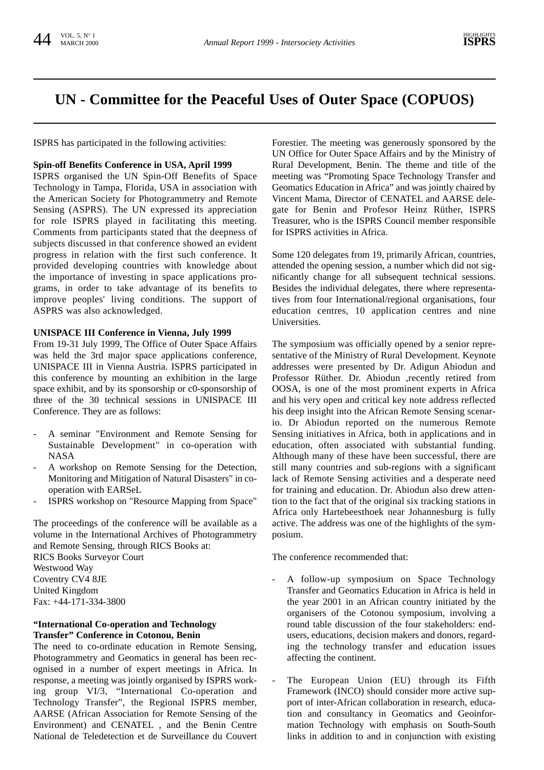# **UN - Committee for the Peaceful Uses of Outer Space (COPUOS)**

ISPRS has participated in the following activities:

#### **Spin-off Benefits Conference in USA, April 1999**

ISPRS organised the UN Spin-Off Benefits of Space Technology in Tampa, Florida, USA in association with the American Society for Photogrammetry and Remote Sensing (ASPRS). The UN expressed its appreciation for role ISPRS played in facilitating this meeting. Comments from participants stated that the deepness of subjects discussed in that conference showed an evident progress in relation with the first such conference. It provided developing countries with knowledge about the importance of investing in space applications programs, in order to take advantage of its benefits to improve peoples' living conditions. The support of ASPRS was also acknowledged.

#### **UNISPACE III Conference in Vienna, July 1999**

From 19-31 July 1999, The Office of Outer Space Affairs was held the 3rd major space applications conference, UNISPACE III in Vienna Austria. ISPRS participated in this conference by mounting an exhibition in the large space exhibit, and by its sponsorship or c0-sponsorship of three of the 30 technical sessions in UNISPACE III Conference. They are as follows:

- A seminar "Environment and Remote Sensing for Sustainable Development" in co-operation with NASA
- A workshop on Remote Sensing for the Detection, Monitoring and Mitigation of Natural Disasters" in cooperation with EARSeL
- ISPRS workshop on "Resource Mapping from Space"

The proceedings of the conference will be available as a volume in the International Archives of Photogrammetry and Remote Sensing, through RICS Books at: RICS Books Surveyor Court Westwood Way Coventry CV4 8JE United Kingdom Fax: +44-171-334-3800

#### **"International Co-operation and Technology Transfer" Conference in Cotonou, Benin**

The need to co-ordinate education in Remote Sensing, Photogrammetry and Geomatics in general has been recognised in a number of expert meetings in Africa. In response, a meeting was jointly organised by ISPRS working group VI/3, "International Co-operation and Technology Transfer", the Regional ISPRS member, AARSE (African Association for Remote Sensing of the Environment) and CENATEL , and the Benin Centre National de Teledetection et de Surveillance du Couvert

Forestier. The meeting was generously sponsored by the UN Office for Outer Space Affairs and by the Ministry of Rural Development, Benin. The theme and title of the meeting was "Promoting Space Technology Transfer and Geomatics Education in Africa" and was jointly chaired by Vincent Mama, Director of CENATEL and AARSE delegate for Benin and Profesor Heinz Rüther, ISPRS Treasurer, who is the ISPRS Council member responsible for ISPRS activities in Africa.

Some 120 delegates from 19, primarily African, countries, attended the opening session, a number which did not significantly change for all subsequent technical sessions. Besides the individual delegates, there where representatives from four International/regional organisations, four education centres, 10 application centres and nine Universities.

The symposium was officially opened by a senior representative of the Ministry of Rural Development. Keynote addresses were presented by Dr. Adigun Abiodun and Professor Rüther. Dr. Abiodun ,recently retired from OOSA, is one of the most prominent experts in Africa and his very open and critical key note address reflected his deep insight into the African Remote Sensing scenario. Dr Abiodun reported on the numerous Remote Sensing initiatives in Africa, both in applications and in education, often associated with substantial funding. Although many of these have been successful, there are still many countries and sub-regions with a significant lack of Remote Sensing activities and a desperate need for training and education. Dr. Abiodun also drew attention to the fact that of the original six tracking stations in Africa only Hartebeesthoek near Johannesburg is fully active. The address was one of the highlights of the symposium.

The conference recommended that:

- A follow-up symposium on Space Technology Transfer and Geomatics Education in Africa is held in the year 2001 in an African country initiated by the organisers of the Cotonou symposium, involving a round table discussion of the four stakeholders: endusers, educations, decision makers and donors, regarding the technology transfer and education issues affecting the continent.
- The European Union (EU) through its Fifth Framework (INCO) should consider more active support of inter-African collaboration in research, education and consultancy in Geomatics and Geoinformation Technology with emphasis on South-South links in addition to and in conjunction with existing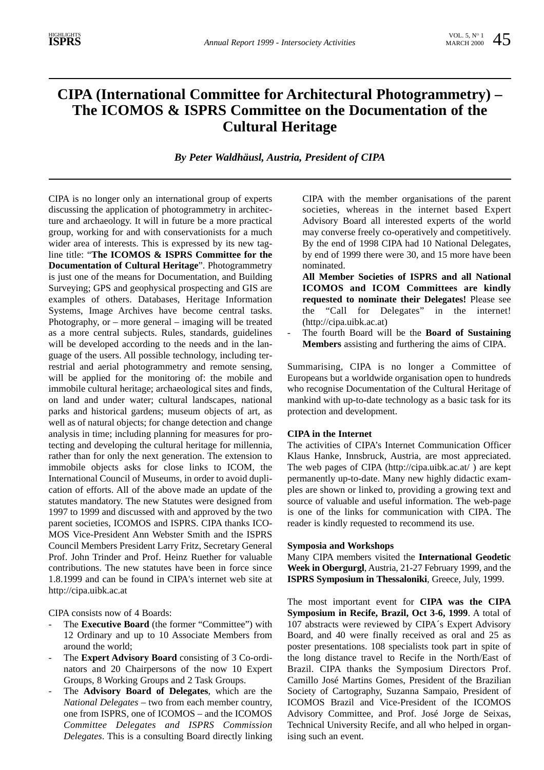# **CIPA (International Committee for Architectural Photogrammetry) – The ICOMOS & ISPRS Committee on the Documentation of the Cultural Heritage**

*By Peter Waldhäusl, Austria, President of CIPA*

CIPA is no longer only an international group of experts discussing the application of photogrammetry in architecture and archaeology. It will in future be a more practical group, working for and with conservationists for a much wider area of interests. This is expressed by its new tagline title: "**The ICOMOS & ISPRS Committee for the Documentation of Cultural Heritage**". Photogrammetry is just one of the means for Documentation, and Building Surveying; GPS and geophysical prospecting and GIS are examples of others. Databases, Heritage Information Systems, Image Archives have become central tasks. Photography, or – more general – imaging will be treated as a more central subjects. Rules, standards, guidelines will be developed according to the needs and in the language of the users. All possible technology, including terrestrial and aerial photogrammetry and remote sensing, will be applied for the monitoring of: the mobile and immobile cultural heritage; archaeological sites and finds, on land and under water; cultural landscapes, national parks and historical gardens; museum objects of art, as well as of natural objects; for change detection and change analysis in time; including planning for measures for protecting and developing the cultural heritage for millennia, rather than for only the next generation. The extension to immobile objects asks for close links to ICOM, the International Council of Museums, in order to avoid duplication of efforts. All of the above made an update of the statutes mandatory. The new Statutes were designed from 1997 to 1999 and discussed with and approved by the two parent societies, ICOMOS and ISPRS. CIPA thanks ICO-MOS Vice-President Ann Webster Smith and the ISPRS Council Members President Larry Fritz, Secretary General Prof. John Trinder and Prof. Heinz Ruether for valuable contributions. The new statutes have been in force since 1.8.1999 and can be found in CIPA's internet web site at http://cipa.uibk.ac.at

CIPA consists now of 4 Boards:

- The **Executive Board** (the former "Committee") with 12 Ordinary and up to 10 Associate Members from around the world;
- The **Expert Advisory Board** consisting of 3 Co-ordinators and 20 Chairpersons of the now 10 Expert Groups, 8 Working Groups and 2 Task Groups.
- The **Advisory Board of Delegates**, which are the *National Delegates* – two from each member country, one from ISPRS, one of ICOMOS – and the ICOMOS *Committee Delegates and ISPRS Commission Delegates*. This is a consulting Board directly linking

CIPA with the member organisations of the parent societies, whereas in the internet based Expert Advisory Board all interested experts of the world may converse freely co-operatively and competitively. By the end of 1998 CIPA had 10 National Delegates, by end of 1999 there were 30, and 15 more have been nominated.

- **All Member Societies of ISPRS and all National ICOMOS and ICOM Committees are kindly requested to nominate their Delegates!** Please see the "Call for Delegates" in the internet! (http://cipa.uibk.ac.at)
- The fourth Board will be the **Board of Sustaining Members** assisting and furthering the aims of CIPA.

Summarising, CIPA is no longer a Committee of Europeans but a worldwide organisation open to hundreds who recognise Documentation of the Cultural Heritage of mankind with up-to-date technology as a basic task for its protection and development.

#### **CIPA in the Internet**

The activities of CIPA's Internet Communication Officer Klaus Hanke, Innsbruck, Austria, are most appreciated. The web pages of CIPA (http://cipa.uibk.ac.at/ ) are kept permanently up-to-date. Many new highly didactic examples are shown or linked to, providing a growing text and source of valuable and useful information. The web-page is one of the links for communication with CIPA. The reader is kindly requested to recommend its use.

#### **Symposia and Workshops**

Many CIPA members visited the **International Geodetic Week in Obergurgl**, Austria, 21-27 February 1999, and the **ISPRS Symposium in Thessaloniki**, Greece, July, 1999.

The most important event for **CIPA was the CIPA Symposium in Recife, Brazil, Oct 3-6, 1999**. A total of 107 abstracts were reviewed by CIPA´s Expert Advisory Board, and 40 were finally received as oral and 25 as poster presentations. 108 specialists took part in spite of the long distance travel to Recife in the North/East of Brazil. CIPA thanks the Symposium Directors Prof. Camillo José Martins Gomes, President of the Brazilian Society of Cartography, Suzanna Sampaio, President of ICOMOS Brazil and Vice-President of the ICOMOS Advisory Committee, and Prof. José Jorge de Seixas, Technical University Recife, and all who helped in organising such an event.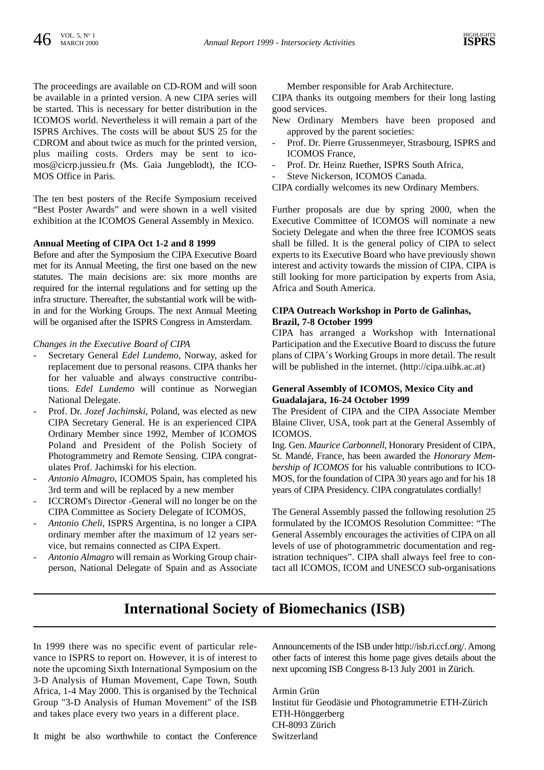The proceedings are available on CD-ROM and will soon be available in a printed version. A new CIPA series will be started. This is necessary for better distribution in the ICOMOS world. Nevertheless it will remain a part of the ISPRS Archives. The costs will be about \$US 25 for the CDROM and about twice as much for the printed version, plus mailing costs. Orders may be sent to icomos@cicrp.jussieu.fr (Ms. Gaia Jungeblodt), the ICO-MOS Office in Paris.

The ten best posters of the Recife Symposium received "Best Poster Awards" and were shown in a well visited exhibition at the ICOMOS General Assembly in Mexico.

#### **Annual Meeting of CIPA Oct 1-2 and 8 1999**

Before and after the Symposium the CIPA Executive Board met for its Annual Meeting, the first one based on the new statutes. The main decisions are: six more months are required for the internal regulations and for setting up the infra structure. Thereafter, the substantial work will be within and for the Working Groups. The next Annual Meeting will be organised after the ISPRS Congress in Amsterdam.

#### *Changes in the Executive Board of CIPA*

- Secretary General *Edel Lundemo*, Norway, asked for replacement due to personal reasons. CIPA thanks her for her valuable and always constructive contributions. *Edel Lundemo* will continue as Norwegian National Delegate.
- Prof. Dr. *Jozef Jachimski*, Poland, was elected as new CIPA Secretary General. He is an experienced CIPA Ordinary Member since 1992, Member of ICOMOS Poland and President of the Polish Society of Photogrammetry and Remote Sensing. CIPA congratulates Prof. Jachimski for his election.
- *Antonio Almagro*, ICOMOS Spain, has completed his 3rd term and will be replaced by a new member
- ICCROM's Director -General will no longer be on the CIPA Committee as Society Delegate of ICOMOS,
- Antonio Cheli, ISPRS Argentina, is no longer a CIPA ordinary member after the maximum of 12 years service, but remains connected as CIPA Expert.
- *Antonio Almagro* will remain as Working Group chairperson, National Delegate of Spain and as Associate

Member responsible for Arab Architecture.

CIPA thanks its outgoing members for their long lasting good services.

- New Ordinary Members have been proposed and approved by the parent societies:
- Prof. Dr. Pierre Grussenmeyer, Strasbourg, ISPRS and ICOMOS France,
- Prof. Dr. Heinz Ruether, ISPRS South Africa,
- Steve Nickerson, ICOMOS Canada.
- CIPA cordially welcomes its new Ordinary Members.

Further proposals are due by spring 2000, when the Executive Committee of ICOMOS will nominate a new Society Delegate and when the three free ICOMOS seats shall be filled. It is the general policy of CIPA to select experts to its Executive Board who have previously shown interest and activity towards the mission of CIPA. CIPA is still looking for more participation by experts from Asia, Africa and South America.

#### **CIPA Outreach Workshop in Porto de Galinhas, Brazil, 7-8 October 1999**

CIPA has arranged a Workshop with International Participation and the Executive Board to discuss the future plans of CIPA´s Working Groups in more detail. The result will be published in the internet. (http://cipa.uibk.ac.at)

#### **General Assembly of ICOMOS, Mexico City and Guadalajara, 16-24 October 1999**

The President of CIPA and the CIPA Associate Member Blaine Cliver, USA, took part at the General Assembly of ICOMOS.

Ing. Gen. *Maurice Carbonnell*, Honorary President of CIPA, St. Mandé, France, has been awarded the *Honorary Membership of ICOMOS* for his valuable contributions to ICO-MOS, for the foundation of CIPA 30 years ago and for his 18 years of CIPA Presidency. CIPA congratulates cordially!

The General Assembly passed the following resolution 25 formulated by the ICOMOS Resolution Committee: "The General Assembly encourages the activities of CIPA on all levels of use of photogrammetric documentation and registration techniques". CIPA shall always feel free to contact all ICOMOS, ICOM and UNESCO sub-organisations

# **International Society of Biomechanics (ISB)**

In 1999 there was no specific event of particular relevance to ISPRS to report on. However, it is of interest to note the upcoming Sixth International Symposium on the 3-D Analysis of Human Movement, Cape Town, South Africa, 1-4 May 2000. This is organised by the Technical Group "3-D Analysis of Human Movement" of the ISB and takes place every two years in a different place.

Announcements of the ISB under http://isb.ri.ccf.org/. Among other facts of interest this home page gives details about the next upcoming ISB Congress 8-13 July 2001 in Zürich.

Armin Grün Institut für Geodäsie und Photogrammetrie ETH-Zürich ETH-Hönggerberg CH-8093 Zürich Switzerland

It might be also worthwhile to contact the Conference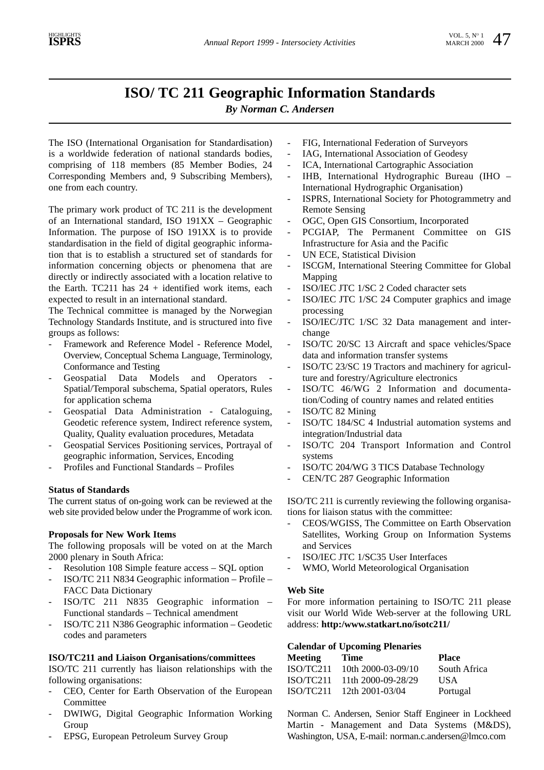# **ISO/ TC 211 Geographic Information Standards**

*By Norman C. Andersen*

The ISO (International Organisation for Standardisation) is a worldwide federation of national standards bodies, comprising of 118 members (85 Member Bodies, 24 Corresponding Members and, 9 Subscribing Members), one from each country.

The primary work product of TC 211 is the development of an International standard, ISO 191XX – Geographic Information. The purpose of ISO 191XX is to provide standardisation in the field of digital geographic information that is to establish a structured set of standards for information concerning objects or phenomena that are directly or indirectly associated with a location relative to the Earth.  $TC211$  has  $24 +$  identified work items, each expected to result in an international standard.

The Technical committee is managed by the Norwegian Technology Standards Institute, and is structured into five groups as follows:

- Framework and Reference Model Reference Model, Overview, Conceptual Schema Language, Terminology, Conformance and Testing
- Geospatial Data Models and Operators Spatial/Temporal subschema, Spatial operators, Rules for application schema
- Geospatial Data Administration Cataloguing, Geodetic reference system, Indirect reference system, Quality, Quality evaluation procedures, Metadata
- Geospatial Services Positioning services, Portrayal of geographic information, Services, Encoding
- Profiles and Functional Standards Profiles

#### **Status of Standards**

The current status of on-going work can be reviewed at the web site provided below under the Programme of work icon.

#### **Proposals for New Work Items**

The following proposals will be voted on at the March 2000 plenary in South Africa:

- Resolution 108 Simple feature access SQL option
- ISO/TC 211 N834 Geographic information Profile FACC Data Dictionary
- ISO/TC 211 N835 Geographic information Functional standards – Technical amendment
- ISO/TC 211 N386 Geographic information Geodetic codes and parameters

#### **ISO/TC211 and Liaison Organisations/committees**

ISO/TC 211 currently has liaison relationships with the following organisations:

- CEO, Center for Earth Observation of the European Committee
- DWIWG, Digital Geographic Information Working Group
- EPSG, European Petroleum Survey Group
- FIG, International Federation of Surveyors
- IAG, International Association of Geodesy
- ICA, International Cartographic Association
- IHB, International Hydrographic Bureau (IHO International Hydrographic Organisation)
- ISPRS, International Society for Photogrammetry and Remote Sensing
- OGC, Open GIS Consortium, Incorporated
- PCGIAP, The Permanent Committee on GIS Infrastructure for Asia and the Pacific
- UN ECE, Statistical Division
- ISCGM, International Steering Committee for Global Mapping
- ISO/IEC JTC 1/SC 2 Coded character sets
- ISO/IEC JTC 1/SC 24 Computer graphics and image processing
- ISO/IEC/JTC 1/SC 32 Data management and interchange
- ISO/TC 20/SC 13 Aircraft and space vehicles/Space data and information transfer systems
- ISO/TC 23/SC 19 Tractors and machinery for agriculture and forestry/Agriculture electronics
- ISO/TC 46/WG 2 Information and documentation/Coding of country names and related entities
- ISO/TC 82 Mining
- ISO/TC 184/SC 4 Industrial automation systems and integration/Industrial data
- ISO/TC 204 Transport Information and Control systems
- ISO/TC 204/WG 3 TICS Database Technology
- CEN/TC 287 Geographic Information

ISO/TC 211 is currently reviewing the following organisations for liaison status with the committee:

- CEOS/WGISS, The Committee on Earth Observation Satellites, Working Group on Information Systems and Services
- ISO/IEC JTC 1/SC35 User Interfaces
- WMO, World Meteorological Organisation

#### **Web Site**

For more information pertaining to ISO/TC 211 please visit our World Wide Web-server at the following URL address: **http:/www.statkart.no/isotc211/**

#### **Calendar of Upcoming Plenaries**

| Meeting   | Time               | <b>Place</b> |
|-----------|--------------------|--------------|
| ISO/TC211 | 10th 2000-03-09/10 | South Africa |
| ISO/TC211 | 11th 2000-09-28/29 | USA          |
| ISO/TC211 | 12th 2001-03/04    | Portugal     |

Norman C. Andersen, Senior Staff Engineer in Lockheed Martin - Management and Data Systems (M&DS), Washington, USA, E-mail: norman.c.andersen@lmco.com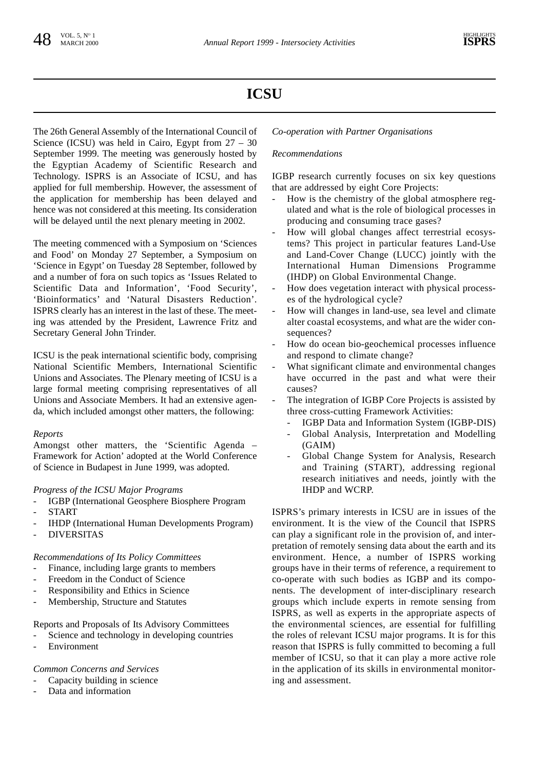# **ICSU**

The 26th General Assembly of the International Council of Science (ICSU) was held in Cairo, Egypt from 27 – 30 September 1999. The meeting was generously hosted by the Egyptian Academy of Scientific Research and Technology. ISPRS is an Associate of ICSU, and has applied for full membership. However, the assessment of the application for membership has been delayed and hence was not considered at this meeting. Its consideration will be delayed until the next plenary meeting in 2002.

The meeting commenced with a Symposium on 'Sciences and Food' on Monday 27 September, a Symposium on 'Science in Egypt' on Tuesday 28 September, followed by and a number of fora on such topics as 'Issues Related to Scientific Data and Information', 'Food Security', 'Bioinformatics' and 'Natural Disasters Reduction'. ISPRS clearly has an interest in the last of these. The meeting was attended by the President, Lawrence Fritz and Secretary General John Trinder.

ICSU is the peak international scientific body, comprising National Scientific Members, International Scientific Unions and Associates. The Plenary meeting of ICSU is a large formal meeting comprising representatives of all Unions and Associate Members. It had an extensive agenda, which included amongst other matters, the following:

### *Reports*

Amongst other matters, the 'Scientific Agenda – Framework for Action' adopted at the World Conference of Science in Budapest in June 1999, was adopted.

# *Progress of the ICSU Major Programs*

- IGBP (International Geosphere Biosphere Program **START**
- IHDP (International Human Developments Program)
- **DIVERSITAS**

### *Recommendations of Its Policy Committees*

- Finance, including large grants to members
- Freedom in the Conduct of Science
- Responsibility and Ethics in Science
- Membership, Structure and Statutes

# Reports and Proposals of Its Advisory Committees

- Science and technology in developing countries
- Environment

### *Common Concerns and Services*

- Capacity building in science
- Data and information

### *Co-operation with Partner Organisations*

## *Recommendations*

IGBP research currently focuses on six key questions that are addressed by eight Core Projects:

- How is the chemistry of the global atmosphere regulated and what is the role of biological processes in producing and consuming trace gases?
- How will global changes affect terrestrial ecosystems? This project in particular features Land-Use and Land-Cover Change (LUCC) jointly with the International Human Dimensions Programme (IHDP) on Global Environmental Change.
- How does vegetation interact with physical processes of the hydrological cycle?
- How will changes in land-use, sea level and climate alter coastal ecosystems, and what are the wider consequences?
- How do ocean bio-geochemical processes influence and respond to climate change?
- What significant climate and environmental changes have occurred in the past and what were their causes?
- The integration of IGBP Core Projects is assisted by three cross-cutting Framework Activities:
	- IGBP Data and Information System (IGBP-DIS)
	- Global Analysis, Interpretation and Modelling (GAIM)
	- Global Change System for Analysis, Research and Training (START), addressing regional research initiatives and needs, jointly with the IHDP and WCRP.

ISPRS's primary interests in ICSU are in issues of the environment. It is the view of the Council that ISPRS can play a significant role in the provision of, and interpretation of remotely sensing data about the earth and its environment. Hence, a number of ISPRS working groups have in their terms of reference, a requirement to co-operate with such bodies as IGBP and its components. The development of inter-disciplinary research groups which include experts in remote sensing from ISPRS, as well as experts in the appropriate aspects of the environmental sciences, are essential for fulfilling the roles of relevant ICSU major programs. It is for this reason that ISPRS is fully committed to becoming a full member of ICSU, so that it can play a more active role in the application of its skills in environmental monitoring and assessment.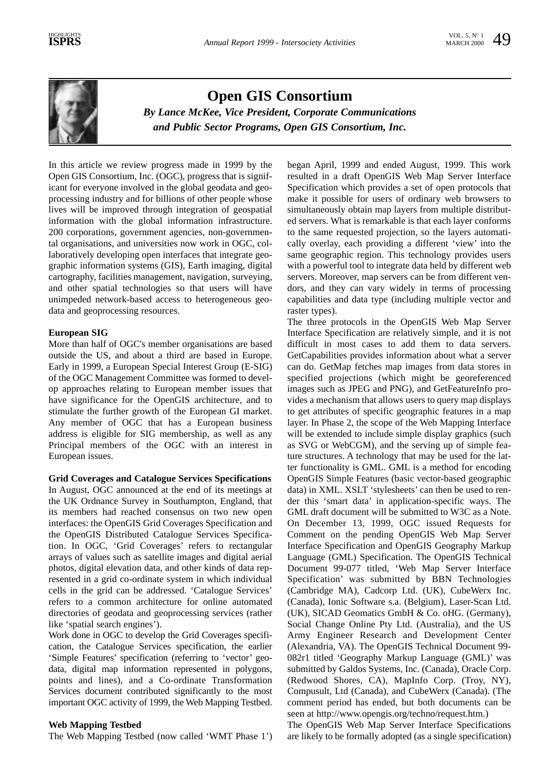

**Open GIS Consortium** *By Lance McKee, Vice President, Corporate Communications and Public Sector Programs, Open GIS Consortium, Inc.*

In this article we review progress made in 1999 by the Open GIS Consortium, Inc. (OGC), progress that is significant for everyone involved in the global geodata and geoprocessing industry and for billions of other people whose lives will be improved through integration of geospatial information with the global information infrastructure. 200 corporations, government agencies, non-governmental organisations, and universities now work in OGC, collaboratively developing open interfaces that integrate geographic information systems (GIS), Earth imaging, digital cartography, facilities management, navigation, surveying, and other spatial technologies so that users will have unimpeded network-based access to heterogeneous geodata and geoprocessing resources.

#### **European SIG**

More than half of OGC's member organisations are based outside the US, and about a third are based in Europe. Early in 1999, a European Special Interest Group (E-SIG) of the OGC Management Committee was formed to develop approaches relating to European member issues that have significance for the OpenGIS architecture, and to stimulate the further growth of the European GI market. Any member of OGC that has a European business address is eligible for SIG membership, as well as any Principal members of the OGC with an interest in European issues.

#### **Grid Coverages and Catalogue Services Specifications**

In August, OGC announced at the end of its meetings at the UK Ordnance Survey in Southampton, England, that its members had reached consensus on two new open interfaces: the OpenGIS Grid Coverages Specification and the OpenGIS Distributed Catalogue Services Specification. In OGC, 'Grid Coverages' refers to rectangular arrays of values such as satellite images and digital aerial photos, digital elevation data, and other kinds of data represented in a grid co-ordinate system in which individual cells in the grid can be addressed. 'Catalogue Services' refers to a common architecture for online automated directories of geodata and geoprocessing services (rather like 'spatial search engines').

Work done in OGC to develop the Grid Coverages specification, the Catalogue Services specification, the earlier 'Simple Features' specification (referring to 'vector' geodata, digital map information represented in polygons, points and lines), and a Co-ordinate Transformation Services document contributed significantly to the most important OGC activity of 1999, the Web Mapping Testbed.

### **Web Mapping Testbed**

The Web Mapping Testbed (now called 'WMT Phase 1')

began April, 1999 and ended August, 1999. This work resulted in a draft OpenGIS Web Map Server Interface Specification which provides a set of open protocols that make it possible for users of ordinary web browsers to simultaneously obtain map layers from multiple distributed servers. What is remarkable is that each layer conforms to the same requested projection, so the layers automatically overlay, each providing a different 'view' into the same geographic region. This technology provides users with a powerful tool to integrate data held by different web servers. Moreover, map servers can be from different vendors, and they can vary widely in terms of processing capabilities and data type (including multiple vector and raster types).

The three protocols in the OpenGIS Web Map Server Interface Specification are relatively simple, and it is not difficult in most cases to add them to data servers. GetCapabilities provides information about what a server can do. GetMap fetches map images from data stores in specified projections (which might be georeferenced images such as JPEG and PNG), and GetFeatureInfo provides a mechanism that allows users to query map displays to get attributes of specific geographic features in a map layer. In Phase 2, the scope of the Web Mapping Interface will be extended to include simple display graphics (such as SVG or WebCGM), and the serving up of simple feature structures. A technology that may be used for the latter functionality is GML. GML is a method for encoding OpenGIS Simple Features (basic vector-based geographic data) in XML. XSLT 'stylesheets' can then be used to render this 'smart data' in application-specific ways. The GML draft document will be submitted to W3C as a Note. On December 13, 1999, OGC issued Requests for Comment on the pending OpenGIS Web Map Server Interface Specification and OpenGIS Geography Markup Language (GML) Specification. The OpenGIS Technical Document 99-077 titled, 'Web Map Server Interface Specification' was submitted by BBN Technologies (Cambridge MA), Cadcorp Ltd. (UK), CubeWerx Inc. (Canada), Ionic Software s.a. (Belgium), Laser-Scan Ltd. (UK), SICAD Geomatics GmbH & Co. oHG. (Germany), Social Change Online Pty Ltd. (Australia), and the US Army Engineer Research and Development Center (Alexandria, VA). The OpenGIS Technical Document 99- 082r1 titled 'Geography Markup Language (GML)' was submitted by Galdos Systems, Inc. (Canada), Oracle Corp. (Redwood Shores, CA), MapInfo Corp. (Troy, NY), Compusult, Ltd (Canada), and CubeWerx (Canada). (The comment period has ended, but both documents can be seen at http://www.opengis.org/techno/request.htm.)

The OpenGIS Web Map Server Interface Specifications are likely to be formally adopted (as a single specification)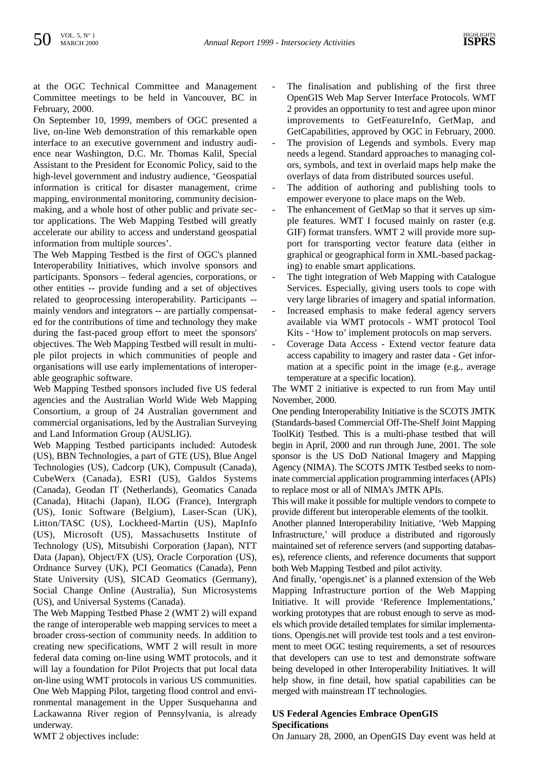at the OGC Technical Committee and Management Committee meetings to be held in Vancouver, BC in February, 2000.

On September 10, 1999, members of OGC presented a live, on-line Web demonstration of this remarkable open interface to an executive government and industry audience near Washington, D.C. Mr. Thomas Kalil, Special Assistant to the President for Economic Policy, said to the high-level government and industry audience, 'Geospatial information is critical for disaster management, crime mapping, environmental monitoring, community decisionmaking, and a whole host of other public and private sector applications. The Web Mapping Testbed will greatly accelerate our ability to access and understand geospatial information from multiple sources'.

The Web Mapping Testbed is the first of OGC's planned Interoperability Initiatives, which involve sponsors and participants. Sponsors – federal agencies, corporations, or other entities -- provide funding and a set of objectives related to geoprocessing interoperability. Participants - mainly vendors and integrators -- are partially compensated for the contributions of time and technology they make during the fast-paced group effort to meet the sponsors' objectives. The Web Mapping Testbed will result in multiple pilot projects in which communities of people and organisations will use early implementations of interoperable geographic software.

Web Mapping Testbed sponsors included five US federal agencies and the Australian World Wide Web Mapping Consortium, a group of 24 Australian government and commercial organisations, led by the Australian Surveying and Land Information Group (AUSLIG).

Web Mapping Testbed participants included: Autodesk (US), BBN Technologies, a part of GTE (US), Blue Angel Technologies (US), Cadcorp (UK), Compusult (Canada), CubeWerx (Canada), ESRI (US), Galdos Systems (Canada), Geodan IT (Netherlands), Geomatics Canada (Canada), Hitachi (Japan), ILOG (France), Intergraph (US), Ionic Software (Belgium), Laser-Scan (UK), Litton/TASC (US), Lockheed-Martin (US), MapInfo (US), Microsoft (US), Massachusetts Institute of Technology (US), Mitsubishi Corporation (Japan), NTT Data (Japan), Object/FX (US), Oracle Corporation (US), Ordnance Survey (UK), PCI Geomatics (Canada), Penn State University (US), SICAD Geomatics (Germany), Social Change Online (Australia), Sun Microsystems (US), and Universal Systems (Canada).

The Web Mapping Testbed Phase 2 (WMT 2) will expand the range of interoperable web mapping services to meet a broader cross-section of community needs. In addition to creating new specifications, WMT 2 will result in more federal data coming on-line using WMT protocols, and it will lay a foundation for Pilot Projects that put local data on-line using WMT protocols in various US communities. One Web Mapping Pilot, targeting flood control and environmental management in the Upper Susquehanna and Lackawanna River region of Pennsylvania, is already underway.

- The finalisation and publishing of the first three OpenGIS Web Map Server Interface Protocols. WMT 2 provides an opportunity to test and agree upon minor improvements to GetFeatureInfo, GetMap, and GetCapabilities, approved by OGC in February, 2000.
- The provision of Legends and symbols. Every map needs a legend. Standard approaches to managing colors, symbols, and text in overlaid maps help make the overlays of data from distributed sources useful.
- The addition of authoring and publishing tools to empower everyone to place maps on the Web.
- The enhancement of GetMap so that it serves up simple features. WMT I focused mainly on raster (e.g. GIF) format transfers. WMT 2 will provide more support for transporting vector feature data (either in graphical or geographical form in XML-based packaging) to enable smart applications.
- The tight integration of Web Mapping with Catalogue Services. Especially, giving users tools to cope with very large libraries of imagery and spatial information.
- Increased emphasis to make federal agency servers available via WMT protocols - WMT protocol Tool Kits - 'How to' implement protocols on map servers.
- Coverage Data Access Extend vector feature data access capability to imagery and raster data - Get information at a specific point in the image (e.g., average temperature at a specific location).

The WMT 2 initiative is expected to run from May until November, 2000.

One pending Interoperability Initiative is the SCOTS JMTK (Standards-based Commercial Off-The-Shelf Joint Mapping ToolKit) Testbed. This is a multi-phase testbed that will begin in April, 2000 and run through June, 2001. The sole sponsor is the US DoD National Imagery and Mapping Agency (NIMA). The SCOTS JMTK Testbed seeks to nominate commercial application programming interfaces (APIs) to replace most or all of NIMA's JMTK APIs.

This will make it possible for multiple vendors to compete to provide different but interoperable elements of the toolkit.

Another planned Interoperability Initiative, 'Web Mapping Infrastructure,' will produce a distributed and rigorously maintained set of reference servers (and supporting databases), reference clients, and reference documents that support both Web Mapping Testbed and pilot activity.

And finally, 'opengis.net' is a planned extension of the Web Mapping Infrastructure portion of the Web Mapping Initiative. It will provide 'Reference Implementations,' working prototypes that are robust enough to serve as models which provide detailed templates for similar implementations. Opengis.net will provide test tools and a test environment to meet OGC testing requirements, a set of resources that developers can use to test and demonstrate software being developed in other Interoperability Initiatives. It will help show, in fine detail, how spatial capabilities can be merged with mainstream IT technologies.

### **US Federal Agencies Embrace OpenGIS Specifications**

WMT 2 objectives include:

On January 28, 2000, an OpenGIS Day event was held at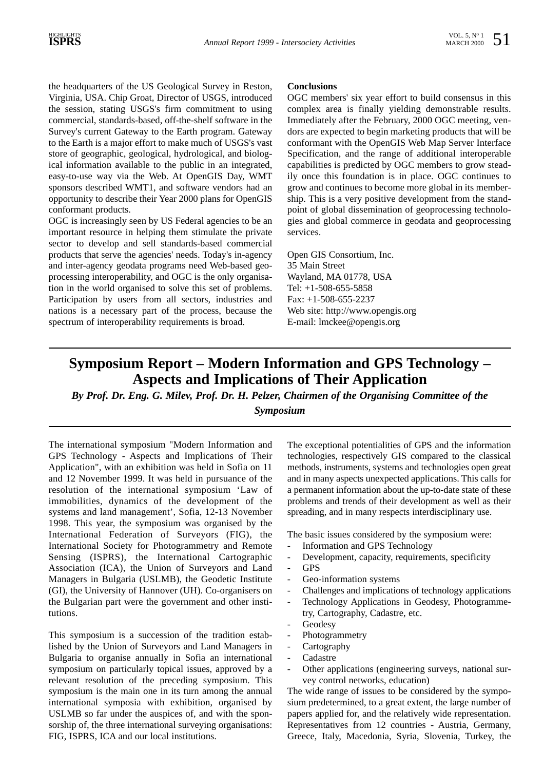the headquarters of the US Geological Survey in Reston, Virginia, USA. Chip Groat, Director of USGS, introduced the session, stating USGS's firm commitment to using commercial, standards-based, off-the-shelf software in the Survey's current Gateway to the Earth program. Gateway to the Earth is a major effort to make much of USGS's vast store of geographic, geological, hydrological, and biological information available to the public in an integrated, easy-to-use way via the Web. At OpenGIS Day, WMT sponsors described WMT1, and software vendors had an opportunity to describe their Year 2000 plans for OpenGIS conformant products.

OGC is increasingly seen by US Federal agencies to be an important resource in helping them stimulate the private sector to develop and sell standards-based commercial products that serve the agencies' needs. Today's in-agency and inter-agency geodata programs need Web-based geoprocessing interoperability, and OGC is the only organisation in the world organised to solve this set of problems. Participation by users from all sectors, industries and nations is a necessary part of the process, because the spectrum of interoperability requirements is broad.

#### **Conclusions**

OGC members' six year effort to build consensus in this complex area is finally yielding demonstrable results. Immediately after the February, 2000 OGC meeting, vendors are expected to begin marketing products that will be conformant with the OpenGIS Web Map Server Interface Specification, and the range of additional interoperable capabilities is predicted by OGC members to grow steadily once this foundation is in place. OGC continues to grow and continues to become more global in its membership. This is a very positive development from the standpoint of global dissemination of geoprocessing technologies and global commerce in geodata and geoprocessing services.

Open GIS Consortium, Inc. 35 Main Street Wayland, MA 01778, USA Tel: +1-508-655-5858 Fax: +1-508-655-2237 Web site: http://www.opengis.org E-mail: lmckee@opengis.org

# **Symposium Report – Modern Information and GPS Technology – Aspects and Implications of Their Application**

*By Prof. Dr. Eng. G. Milev, Prof. Dr. H. Pelzer, Chairmen of the Organising Committee of the Symposium*

The international symposium "Modern Information and GPS Technology - Aspects and Implications of Their Application", with an exhibition was held in Sofia on 11 and 12 November 1999. It was held in pursuance of the resolution of the international symposium 'Law of immobilities, dynamics of the development of the systems and land management', Sofia, 12-13 November 1998. This year, the symposium was organised by the International Federation of Surveyors (FIG), the International Society for Photogrammetry and Remote Sensing (ISPRS), the International Cartographic Association (ICA), the Union of Surveyors and Land Managers in Bulgaria (USLMB), the Geodetic Institute (GI), the University of Hannover (UH). Co-organisers on the Bulgarian part were the government and other institutions.

This symposium is a succession of the tradition established by the Union of Surveyors and Land Managers in Bulgaria to organise annually in Sofia an international symposium on particularly topical issues, approved by a relevant resolution of the preceding symposium. This symposium is the main one in its turn among the annual international symposia with exhibition, organised by USLMB so far under the auspices of, and with the sponsorship of, the three international surveying organisations: FIG, ISPRS, ICA and our local institutions.

The exceptional potentialities of GPS and the information technologies, respectively GIS compared to the classical methods, instruments, systems and technologies open great and in many aspects unexpected applications. This calls for a permanent information about the up-to-date state of these problems and trends of their development as well as their spreading, and in many respects interdisciplinary use.

The basic issues considered by the symposium were:

- Information and GPS Technology
- Development, capacity, requirements, specificity
- GPS
- Geo-information systems
- Challenges and implications of technology applications
- Technology Applications in Geodesy, Photogrammetry, Cartography, Cadastre, etc.
- **Geodesy**
- **Photogrammetry**
- Cartography
- **Cadastre**
- Other applications (engineering surveys, national survey control networks, education)

The wide range of issues to be considered by the symposium predetermined, to a great extent, the large number of papers applied for, and the relatively wide representation. Representatives from 12 countries - Austria, Germany, Greece, Italy, Macedonia, Syria, Slovenia, Turkey, the